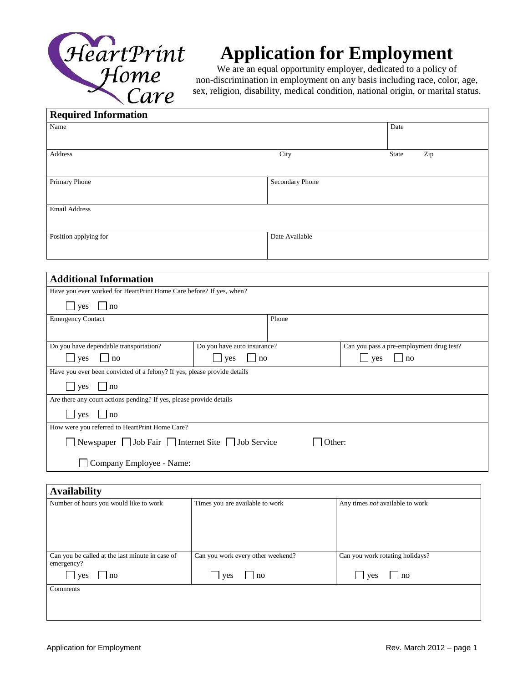

## **Application for Employment**

We are an equal opportunity employer, dedicated to a policy of non-discrimination in employment on any basis including race, color, age, sex, religion, disability, medical condition, national origin, or marital status.

| <b>Required Information</b> |                 |              |  |
|-----------------------------|-----------------|--------------|--|
| Name                        |                 | Date         |  |
| Address                     | City            | Zip<br>State |  |
| Primary Phone               | Secondary Phone |              |  |
| <b>Email Address</b>        |                 |              |  |
| Position applying for       | Date Available  |              |  |

| <b>Additional Information</b>                                            |                             |       |                                          |  |
|--------------------------------------------------------------------------|-----------------------------|-------|------------------------------------------|--|
| Have you ever worked for HeartPrint Home Care before? If yes, when?      |                             |       |                                          |  |
| no<br>yes                                                                |                             |       |                                          |  |
| <b>Emergency Contact</b>                                                 |                             | Phone |                                          |  |
|                                                                          |                             |       |                                          |  |
| Do you have dependable transportation?                                   | Do you have auto insurance? |       | Can you pass a pre-employment drug test? |  |
| <b>ves</b><br>no                                                         | $\ln 0$<br>yes              |       | no<br>ves                                |  |
| Have you ever been convicted of a felony? If yes, please provide details |                             |       |                                          |  |
| $\vert$   $\vert$ ves $\vert$   $\vert$ no                               |                             |       |                                          |  |
| Are there any court actions pending? If yes, please provide details      |                             |       |                                          |  |
| no<br>yes                                                                |                             |       |                                          |  |
| How were you referred to HeartPrint Home Care?                           |                             |       |                                          |  |
| ■ Newspaper ■ Job Fair ■ Internet Site ■ Job Service<br>Other:           |                             |       |                                          |  |
| Company Employee - Name:                                                 |                             |       |                                          |  |

| <b>Availability</b>                                           |                                   |                                        |  |  |
|---------------------------------------------------------------|-----------------------------------|----------------------------------------|--|--|
| Number of hours you would like to work                        | Times you are available to work   | Any times <i>not</i> available to work |  |  |
|                                                               |                                   |                                        |  |  |
|                                                               |                                   |                                        |  |  |
|                                                               |                                   |                                        |  |  |
| Can you be called at the last minute in case of<br>emergency? | Can you work every other weekend? | Can you work rotating holidays?        |  |  |
| ves<br> no                                                    | $\ln 0$<br>yes                    | no<br>yes                              |  |  |
| Comments                                                      |                                   |                                        |  |  |
|                                                               |                                   |                                        |  |  |
|                                                               |                                   |                                        |  |  |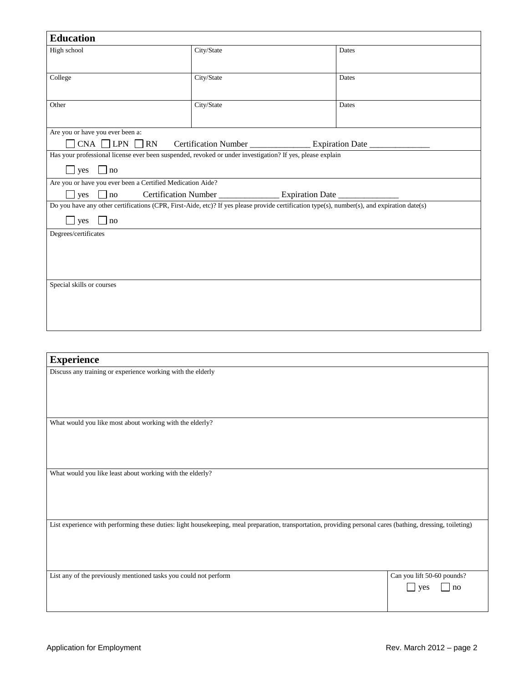| <b>Education</b>                                            |                                                                                                                                             |       |  |
|-------------------------------------------------------------|---------------------------------------------------------------------------------------------------------------------------------------------|-------|--|
| High school                                                 | City/State                                                                                                                                  | Dates |  |
|                                                             |                                                                                                                                             |       |  |
|                                                             |                                                                                                                                             |       |  |
| College                                                     | City/State                                                                                                                                  | Dates |  |
|                                                             |                                                                                                                                             |       |  |
| Other                                                       | City/State                                                                                                                                  | Dates |  |
|                                                             |                                                                                                                                             |       |  |
| Are you or have you ever been a:                            |                                                                                                                                             |       |  |
| $CNA$ $\Box$ LPN $\Box$ RN                                  | Certification Number _________________ Expiration Date ______                                                                               |       |  |
|                                                             | Has your professional license ever been suspended, revoked or under investigation? If yes, please explain                                   |       |  |
| $\Box$ no<br>yes                                            |                                                                                                                                             |       |  |
| Are you or have you ever been a Certified Medication Aide?  |                                                                                                                                             |       |  |
| $\Box$ no<br>yes                                            |                                                                                                                                             |       |  |
|                                                             | Do you have any other certifications (CPR, First-Aide, etc)? If yes please provide certification type(s), number(s), and expiration date(s) |       |  |
|                                                             |                                                                                                                                             |       |  |
| $\perp$ yes<br>$\Box$ no                                    |                                                                                                                                             |       |  |
| Degrees/certificates                                        |                                                                                                                                             |       |  |
|                                                             |                                                                                                                                             |       |  |
|                                                             |                                                                                                                                             |       |  |
|                                                             |                                                                                                                                             |       |  |
| Special skills or courses                                   |                                                                                                                                             |       |  |
|                                                             |                                                                                                                                             |       |  |
|                                                             |                                                                                                                                             |       |  |
|                                                             |                                                                                                                                             |       |  |
|                                                             |                                                                                                                                             |       |  |
|                                                             |                                                                                                                                             |       |  |
| <b>Experience</b>                                           |                                                                                                                                             |       |  |
| Discuss any training or experience working with the elderly |                                                                                                                                             |       |  |

What would you like most about working with the elderly?

What would you like least about working with the elderly?

List experience with performing these duties: light housekeeping, meal preparation, transportation, providing personal cares (bathing, dressing, toileting)

| List any of the previously mentioned tasks you could not perform | Can you lift 50-60 pounds? |                        |
|------------------------------------------------------------------|----------------------------|------------------------|
|                                                                  |                            | $\vert$ yes $\vert$ no |
|                                                                  |                            |                        |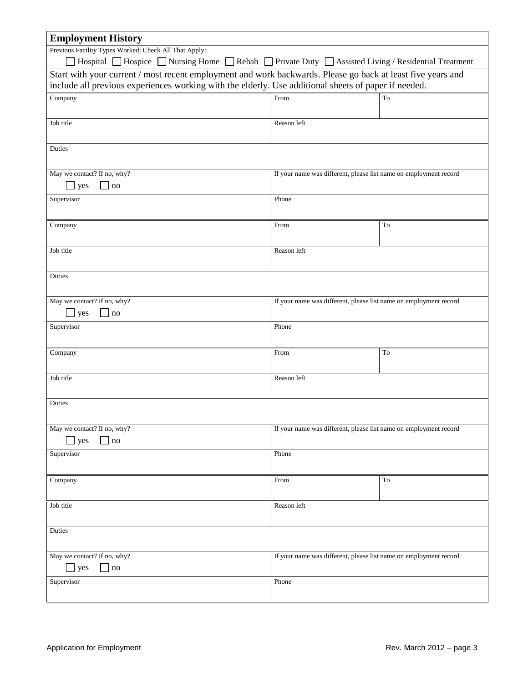| <b>Employment History</b>                                                                                   |                                                                   |                     |  |
|-------------------------------------------------------------------------------------------------------------|-------------------------------------------------------------------|---------------------|--|
| Previous Facility Types Worked: Check All That Apply:                                                       |                                                                   |                     |  |
| Hospital □ Hospice □ Nursing Home □ Rehab □ Private Duty □ Assisted Living / Residential Treatment          |                                                                   |                     |  |
| Start with your current / most recent employment and work backwards. Please go back at least five years and |                                                                   |                     |  |
| include all previous experiences working with the elderly. Use additional sheets of paper if needed.        |                                                                   |                     |  |
| Company                                                                                                     | From                                                              | To                  |  |
|                                                                                                             |                                                                   |                     |  |
| Job title                                                                                                   | Reason left                                                       |                     |  |
|                                                                                                             |                                                                   |                     |  |
| Duties                                                                                                      |                                                                   |                     |  |
|                                                                                                             |                                                                   |                     |  |
| May we contact? If no, why?                                                                                 | If your name was different, please list name on employment record |                     |  |
| yes<br>no                                                                                                   |                                                                   |                     |  |
| Supervisor                                                                                                  | Phone                                                             |                     |  |
|                                                                                                             |                                                                   |                     |  |
| Company                                                                                                     | From                                                              | To                  |  |
|                                                                                                             |                                                                   |                     |  |
| Job title                                                                                                   | Reason left                                                       |                     |  |
|                                                                                                             |                                                                   |                     |  |
| Duties                                                                                                      |                                                                   |                     |  |
|                                                                                                             |                                                                   |                     |  |
| May we contact? If no, why?                                                                                 | If your name was different, please list name on employment record |                     |  |
| $\Box$ yes<br>$-$ no                                                                                        |                                                                   |                     |  |
|                                                                                                             |                                                                   |                     |  |
| Supervisor                                                                                                  | Phone                                                             |                     |  |
|                                                                                                             |                                                                   |                     |  |
| Company                                                                                                     | From                                                              | To                  |  |
|                                                                                                             |                                                                   |                     |  |
| Job title                                                                                                   | Reason left                                                       |                     |  |
|                                                                                                             |                                                                   |                     |  |
| Duties                                                                                                      |                                                                   |                     |  |
|                                                                                                             |                                                                   |                     |  |
| May we contact? If no, why?                                                                                 | If your name was different, please list name on employment record |                     |  |
| yes<br>no                                                                                                   |                                                                   |                     |  |
| Supervisor                                                                                                  | Phone                                                             |                     |  |
|                                                                                                             |                                                                   |                     |  |
| Company                                                                                                     | From                                                              | $\operatorname{To}$ |  |
|                                                                                                             |                                                                   |                     |  |
| Job title                                                                                                   | Reason left                                                       |                     |  |
|                                                                                                             |                                                                   |                     |  |
| Duties                                                                                                      |                                                                   |                     |  |
|                                                                                                             |                                                                   |                     |  |
| May we contact? If no, why?                                                                                 | If your name was different, please list name on employment record |                     |  |
| $\Box$ yes<br>$\Box$ no                                                                                     |                                                                   |                     |  |
| Supervisor                                                                                                  | Phone                                                             |                     |  |
|                                                                                                             |                                                                   |                     |  |

 $\overline{\phantom{0}}$